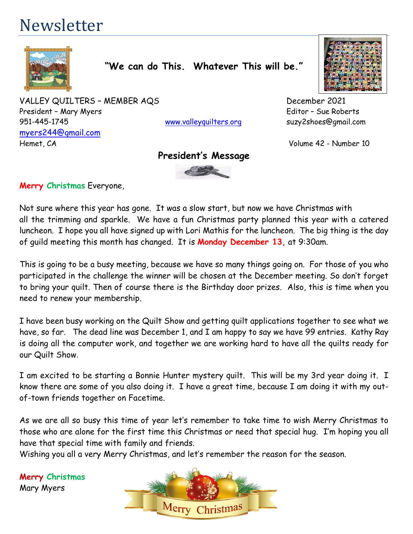# Newsletter



**"We can do This. Whatever This will be."**

VALLEY QUILTERS - MEMBER AQS<br>
December 2021 President – Mary Myers **Editor – Sue Roberts** 951-445-1745 [www.valleyquilters.org](http://www.valleyquilters.org/) suzy2shoes@gmail.com [myers244@gmail.com](mailto:myers244@gmail.com) Hemet, CA Volume 42 - Number 10

### **President's Message**



**Merry Christmas** Everyone,

Not sure where this year has gone. It was a slow start, but now we have Christmas with all the trimming and sparkle. We have a fun Christmas party planned this year with a catered luncheon. I hope you all have signed up with Lori Mathis for the luncheon. The big thing is the day of guild meeting this month has changed. It is **Monday December 13,** at 9:30am.

This is going to be a busy meeting, because we have so many things going on. For those of you who participated in the challenge the winner will be chosen at the December meeting. So don't forget to bring your quilt. Then of course there is the Birthday door prizes. Also, this is time when you need to renew your membership.

I have been busy working on the Quilt Show and getting quilt applications together to see what we have, so far. The dead line was December 1, and I am happy to say we have 99 entries. Kathy Ray is doing all the computer work, and together we are working hard to have all the quilts ready for our Quilt Show.

I am excited to be starting a Bonnie Hunter mystery quilt. This will be my 3rd year doing it. I know there are some of you also doing it. I have a great time, because I am doing it with my outof-town friends together on Facetime.

As we are all so busy this time of year let's remember to take time to wish Merry Christmas to those who are alone for the first time this Christmas or need that special hug. I'm hoping you all have that special time with family and friends.

Wishing you all a very Merry Christmas, and let's remember the reason for the season.

**Merry Christmas** Mary Myers

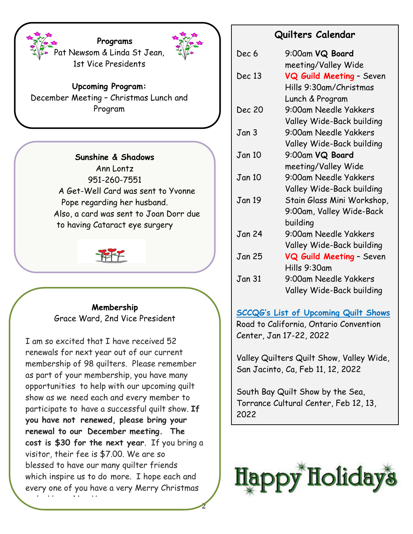

**Upcoming Program:** December Meeting – Christmas Lunch and Program

1st Vice Presidents

**Programs**

**Sunshine & Shadows** Ann Lontz 951-260-7551 A Get-Well Card was sent to Yvonne Pope regarding her husband. Also, a card was sent to Joan Dorr due to having Cataract eye surgery



**Membership** Grace Ward, 2nd Vice President

I am so excited that I have received 52 renewals for next year out of our current membership of 98 quilters. Please remember as part of your membership, you have many opportunities to help with our upcoming quilt show as we need each and every member to participate to have a successful quilt show. **If you have not renewed, please bring your renewal to our December meeting. The cost is \$30 for the next year**. If you bring a visitor, their fee is \$7.00. We are so blessed to have our many quilter friends which inspire us to do more. I hope each and every one of you have a very Merry Christmas and a Happy New Year.

2

### **Quilters Calendar**

| Dec 6         | 9:00am VQ Board            |
|---------------|----------------------------|
|               | meeting/Valley Wide        |
| Dec 13        | VQ Guild Meeting - Seven   |
|               | Hills 9:30am/Christmas     |
|               | Lunch & Program            |
| <b>Dec 20</b> | 9:00am Needle Yakkers      |
|               | Valley Wide-Back building  |
| Jan 3         | 9:00am Needle Yakkers      |
|               | Valley Wide-Back building  |
| Jan 10        | 9:00am VQ Board            |
|               | meeting/Valley Wide        |
| <b>Jan 10</b> | 9:00am Needle Yakkers      |
|               | Valley Wide-Back building  |
| Jan 19        | Stain Glass Mini Workshop, |
|               | 9:00am, Valley Wide-Back   |
|               | building                   |
| Jan 24        | 9:00am Needle Yakkers      |
|               | Valley Wide-Back building  |
| Jan 25        | VQ Guild Meeting - Seven   |
|               | Hills 9:30am               |
| Jan 31        | 9:00am Needle Yakkers      |
|               | Valley Wide-Back building  |

**SCCQG's List of Upcoming Quilt Shows** Road to California, Ontario Convention Center, Jan 17-22, 2022

Valley Quilters Quilt Show, Valley Wide, San Jacinto, Ca, Feb 11, 12, 2022

South Bay Quilt Show by the Sea, Torrance Cultural Center, Feb 12, 13, 2022

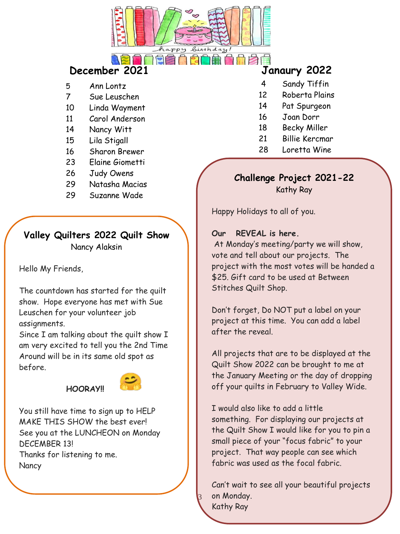

# **December 2021 Janaury 2022**

- 5 Ann Lontz
- 7 Sue Leuschen
- 10 Linda Wayment
- 11 Carol Anderson
- 14 Nancy Witt
- 15 Lila Stigall
- 16 Sharon Brewer
- 23 Elaine Giometti
- 26 Judy Owens
- 29 Natasha Macias
- 29 Suzanne Wade

### **Valley Quilters 2022 Quilt Show** Nancy Alaksin

Hello My Friends,

The countdown has started for the quilt show. Hope everyone has met with Sue Leuschen for your volunteer job assignments.

Since I am talking about the quilt show I am very excited to tell you the 2nd Time Around will be in its same old spot as before.

## **HOORAY!!**



You still have time to sign up to HELP MAKE THIS SHOW the best ever! See you at the LUNCHEON on Monday DECEMBER 13!

Thanks for listening to me. **Nancy** 

- 4 Sandy Tiffin
- 12 Roberta Plains
- 14 Pat Spurgeon
- 16 Joan Dorr
- 18 Becky Miller
- 21 Billie Kercmar
- 28 Loretta Wine

# **Challenge Project 2021-22**

Kathy Ray

Happy Holidays to all of you.

### **Our REVEAL is here.**

At Monday's meeting/party we will show, vote and tell about our projects. The project with the most votes will be handed a \$25. Gift card to be used at Between Stitches Quilt Shop.

Don't forget, Do NOT put a label on your project at this time. You can add a label after the reveal.

All projects that are to be displayed at the Quilt Show 2022 can be brought to me at the January Meeting or the day of dropping off your quilts in February to Valley Wide.

I would also like to add a little something. For displaying our projects at the Quilt Show I would like for you to pin a small piece of your "focus fabric" to your project. That way people can see which fabric was used as the focal fabric.

Can't wait to see all your beautiful projects on Monday.

Kathy Ray

 $\beta$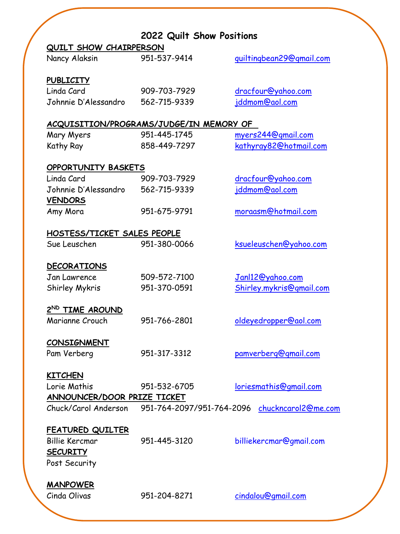|                             | 2022 Quilt Show Positions                      |                               |
|-----------------------------|------------------------------------------------|-------------------------------|
| QUILT SHOW CHAIRPERSON      |                                                |                               |
| Nancy Alaksin               | 951-537-9414                                   | guiltingbean29@gmail.com      |
| <b>PUBLICITY</b>            |                                                |                               |
| Linda Card                  | 909-703-7929                                   | dracfour@yahoo.com            |
| Johnnie D'Alessandro        | 562-715-9339                                   | jddmom@aol.com                |
|                             | <u>ACQUISITION/PROGRAMS/JUDGE/IN MEMORY OF</u> |                               |
| Mary Myers                  | 951-445-1745                                   | myers244@gmail.com            |
| Kathy Ray                   | 858-449-7297                                   | kathyray82@hotmail.com        |
| OPPORTUNITY BASKETS         |                                                |                               |
| Linda Card                  | 909-703-7929                                   | dracfour@yahoo.com            |
| Johnnie D'Alessandro        | 562-715-9339                                   | jddmom@aol.com                |
| <b>VENDORS</b>              |                                                |                               |
| Amy Mora                    | 951-675-9791                                   | moraasm@hotmail.com           |
| HOSTESS/TICKET SALES PEOPLE |                                                |                               |
| Sue Leuschen                | 951-380-0066                                   | ksueleuschen@yahoo.com        |
| <b>DECORATIONS</b>          |                                                |                               |
| Jan Lawrence                | 509-572-7100                                   | Jan12@yahoo.com               |
| Shirley Mykris              | 951-370-0591                                   | Shirley.mykris@gmail.com      |
| 2ND TIME AROUND             |                                                |                               |
| Marianne Crouch             | 951-766-2801                                   | oldeyedropper@aol.com         |
| <b>CONSIGNMENT</b>          |                                                |                               |
| Pam Verberg                 | 951-317-3312                                   | pamverberg@gmail.com          |
| <b>KITCHEN</b>              |                                                |                               |
| Lorie Mathis                | 951-532-6705                                   | <u>loriesmathis@gmail.com</u> |
| ANNOUNCER/DOOR PRIZE TICKET |                                                |                               |
| Chuck/Carol Anderson        | 951-764-2097/951-764-2096                      | chuckncarol2@me.com           |
| <b>FEATURED QUILTER</b>     |                                                |                               |
| <b>Billie Kercmar</b>       | 951-445-3120                                   | billiekercmar@gmail.com       |
|                             |                                                |                               |
| <b>SECURITY</b>             |                                                |                               |
| Post Security               |                                                |                               |
| <b>MANPOWER</b>             |                                                |                               |
| Cinda Olivas                | 951-204-8271                                   | cindalou@gmail.com            |
|                             |                                                |                               |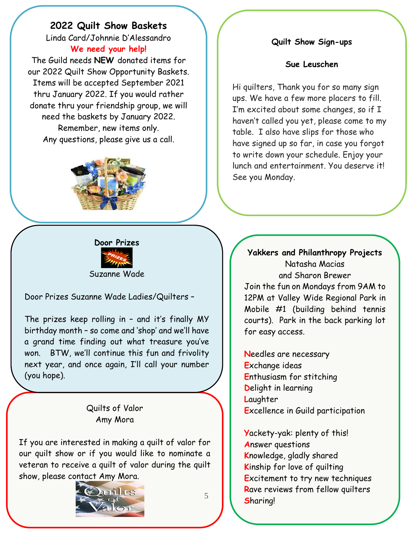### **2022 Quilt Show Baskets**

Linda Card/Johnnie D'Alessandro **We need your help!**

The Guild needs **NEW** donated items for our 2022 Quilt Show Opportunity Baskets. Items will be accepted September 2021 thru January 2022. If you would rather donate thru your friendship group, we will need the baskets by January 2022. Remember, new items only. Any questions, please give us a call.



# **Door Prizes** Suzanne Wade

Door Prizes Suzanne Wade Ladies/Quilters –

The prizes keep rolling in – and it's finally MY birthday month – so come and 'shop' and we'll have a grand time finding out what treasure you've won. BTW, we'll continue this fun and frivolity next year, and once again, I'll call your number (you hope).

### Quilts of Valor Amy Mora

If you are interested in making a quilt of valor for our quilt show or if you would like to nominate a veteran to receive a quilt of valor during the quilt show, please contact Amy Mora.



### **Quilt Show Sign-ups**

#### **Sue Leuschen**

Hi quilters, Thank you for so many sign ups. We have a few more placers to fill. I'm excited about some changes, so if I haven't called you yet, please come to my table. I also have slips for those who have signed up so far, in case you forgot to write down your schedule. Enjoy your lunch and entertainment. You deserve it! See you Monday.

### **Yakkers and Philanthropy Projects** Natasha Macias and Sharon Brewer Join the fun on Mondays from 9AM to

12PM at Valley Wide Regional Park in Mobile #1 (building behind tennis courts). Park in the back parking lot for easy access.

**N**eedles are necessary **E**xchange ideas **E**nthusiasm for stitching **D**elight in learning **L**aughter **E**xcellence in Guild participation

**Y**ackety-yak: plenty of this! **A**nswer questions **K**nowledge, gladly shared **K**inship for love of quilting **E**xcitement to try new techniques **R**ave reviews from fellow quilters **S**haring!

5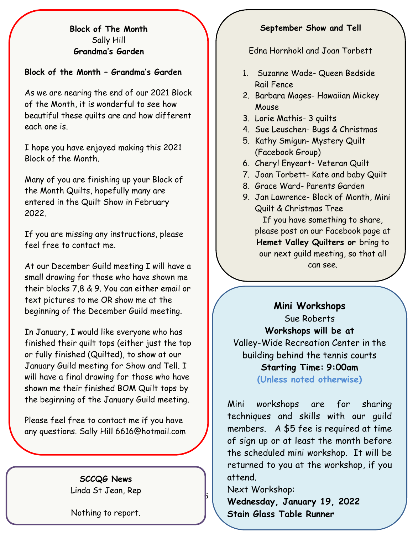### **Block of The Month** Sally Hill **Grandma's Garden**

### **Block of the Month – Grandma's Garden**

As we are nearing the end of our 2021 Block of the Month, it is wonderful to see how beautiful these quilts are and how different each one is.

I hope you have enjoyed making this 2021 Block of the Month.

Many of you are finishing up your Block of the Month Quilts, hopefully many are entered in the Quilt Show in February 2022.

If you are missing any instructions, please feel free to contact me.

At our December Guild meeting I will have a small drawing for those who have shown me their blocks 7,8 & 9. You can either email or text pictures to me OR show me at the beginning of the December Guild meeting.

In January, I would like everyone who has finished their quilt tops (either just the top or fully finished (Quilted), to show at our January Guild meeting for Show and Tell. I will have a final drawing for those who have shown me their finished BOM Quilt tops by the beginning of the January Guild meeting.

Please feel free to contact me if you have any questions. Sally Hill 6616@hotmail.com

> **SCCQG News** Linda St Jean, Rep

> Nothing to report.

### **September Show and Tell**

Edna Hornhokl and Joan Torbett

- 1. Suzanne Wade- Queen Bedside Rail Fence
- 2. Barbara Mages- Hawaiian Mickey Mouse
- 3. Lorie Mathis- 3 quilts
- 4. Sue Leuschen- Bugs & Christmas
- 5. Kathy Smigun- Mystery Quilt (Facebook Group)
- 6. Cheryl Enyeart- Veteran Quilt
- 7. Joan Torbett- Kate and baby Quilt
- 8. Grace Ward- Parents Garden
- 9. Jan Lawrence- Block of Month, Mini Quilt & Christmas Tree If you have something to share, please post on our Facebook page at **Hemet Valley Quilters or** bring to our next guild meeting, so that all can see.

**Mini Workshops** Sue Roberts **Workshops will be at**  Valley-Wide Recreation Center in the building behind the tennis courts **Starting Time: 9:00am**

**(Unless noted otherwise)**

Mini workshops are for sharing techniques and skills with our guild members. A \$5 fee is required at time of sign up or at least the month before the scheduled mini workshop. It will be returned to you at the workshop, if you attend.

Next Workshop:

 $\mathfrak b$ 

**Wednesday, January 19, 2022 Stain Glass Table Runner**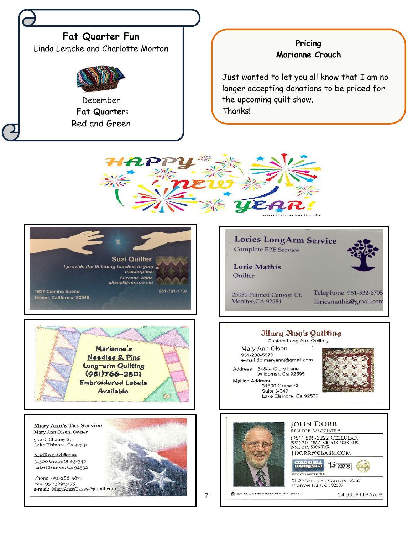

### **Pricing Marianne Crouch**

Just wanted to let you all know that I am no longer accepting donations to be priced for the upcoming quilt show. Thanks!







**Mary Ann's Tax Service** Mary Ann Olsen, Owner 502-C Chaney St, Lake Elsinore, Ca 92530

**Mailing Address** 31500 Grape St #3-340 Lake Elsinore, Ca 92532

Phone: 951-288-5879<br>Fax: 951-329-5175<br>e-mail: MaryAnnsTaxes@gmail.com



Custom Long Arm Quilting

Mary Ann Olsen 951-288-5879 e-mail dp.maryann@gmail.com

34844 Glory Lane Address Wildomar, Ca 92595 **Mailing Address** 

31500 Grape St Suite 3-340 Lake Elsinore, Ca 92532





7